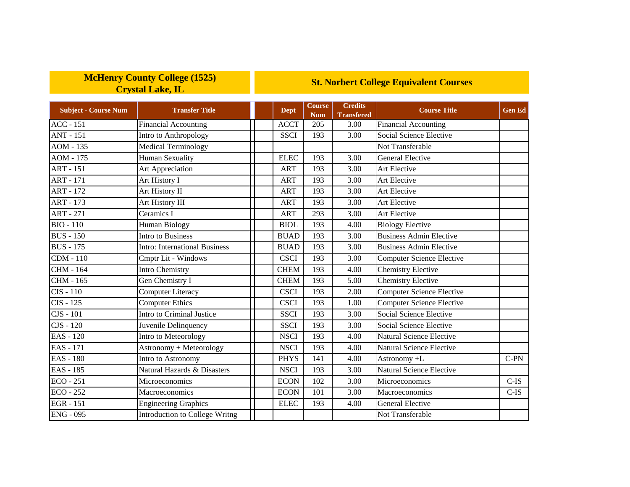## **McHenry County College (1525) Crystal Lake, IL**

## **St. Norbert College Equivalent Courses**

| <b>Subject - Course Num</b> | <b>Transfer Title</b>                 | Dept        | Course<br><b>Num</b> | <b>Credits</b><br><b>Transfered</b> | <b>Course Title</b>              | <b>Gen Ed</b> |
|-----------------------------|---------------------------------------|-------------|----------------------|-------------------------------------|----------------------------------|---------------|
| <b>ACC - 151</b>            | <b>Financial Accounting</b>           | <b>ACCT</b> | 205                  | 3.00                                | <b>Financial Accounting</b>      |               |
| <b>ANT - 151</b>            | Intro to Anthropology                 | <b>SSCI</b> | 193                  | 3.00                                | Social Science Elective          |               |
| $AOM - 135$                 | Medical Terminology                   |             |                      |                                     | Not Transferable                 |               |
| AOM - 175                   | <b>Human Sexuality</b>                | <b>ELEC</b> | 193                  | 3.00                                | <b>General Elective</b>          |               |
| <b>ART - 151</b>            | Art Appreciation                      | <b>ART</b>  | 193                  | 3.00                                | Art Elective                     |               |
| <b>ART - 171</b>            | Art History I                         | <b>ART</b>  | 193                  | 3.00                                | Art Elective                     |               |
| <b>ART - 172</b>            | Art History II                        | <b>ART</b>  | 193                  | 3.00                                | Art Elective                     |               |
| <b>ART - 173</b>            | Art History III                       | <b>ART</b>  | 193                  | 3.00                                | Art Elective                     |               |
| <b>ART - 271</b>            | Ceramics I                            | <b>ART</b>  | 293                  | 3.00                                | Art Elective                     |               |
| <b>BIO - 110</b>            | <b>Human Biology</b>                  | <b>BIOL</b> | 193                  | 4.00                                | <b>Biology Elective</b>          |               |
| <b>BUS</b> - 150            | <b>Intro to Business</b>              | <b>BUAD</b> | 193                  | 3.00                                | <b>Business Admin Elective</b>   |               |
| <b>BUS</b> - 175            | <b>Intro: International Business</b>  | <b>BUAD</b> | 193                  | 3.00                                | <b>Business Admin Elective</b>   |               |
| <b>CDM - 110</b>            | Cmptr Lit - Windows                   | <b>CSCI</b> | 193                  | 3.00                                | <b>Computer Science Elective</b> |               |
| <b>CHM - 164</b>            | <b>Intro Chemistry</b>                | <b>CHEM</b> | 193                  | 4.00                                | <b>Chemistry Elective</b>        |               |
| CHM - 165                   | Gen Chemistry I                       | <b>CHEM</b> | 193                  | 5.00                                | <b>Chemistry Elective</b>        |               |
| $CIS - 110$                 | <b>Computer Literacy</b>              | <b>CSCI</b> | 193                  | 2.00                                | <b>Computer Science Elective</b> |               |
| CIS - 125                   | <b>Computer Ethics</b>                | <b>CSCI</b> | 193                  | 1.00                                | <b>Computer Science Elective</b> |               |
| $CJS - 101$                 | <b>Intro to Criminal Justice</b>      | <b>SSCI</b> | 193                  | 3.00                                | <b>Social Science Elective</b>   |               |
| CJS - 120                   | Juvenile Delinquency                  | <b>SSCI</b> | 193                  | 3.00                                | Social Science Elective          |               |
| EAS - 120                   | Intro to Meteorology                  | <b>NSCI</b> | 193                  | 4.00                                | Natural Science Elective         |               |
| <b>EAS</b> - 171            | Astronomy + Meteorology               | <b>NSCI</b> | 193                  | 4.00                                | Natural Science Elective         |               |
| <b>EAS - 180</b>            | Intro to Astronomy                    | <b>PHYS</b> | 141                  | 4.00                                | Astronomy +L                     | C-PN          |
| <b>EAS</b> - 185            | Natural Hazards & Disasters           | <b>NSCI</b> | 193                  | 3.00                                | <b>Natural Science Elective</b>  |               |
| $ECO - 251$                 | Microeconomics                        | <b>ECON</b> | 102                  | 3.00                                | Microeconomics                   | $C-IS$        |
| $ECO - 252$                 | Macroeconomics                        | <b>ECON</b> | 101                  | 3.00                                | Macroeconomics                   | $C$ -IS       |
| <b>EGR</b> - 151            | <b>Engineering Graphics</b>           | <b>ELEC</b> | 193                  | 4.00                                | <b>General Elective</b>          |               |
| <b>ENG - 095</b>            | <b>Introduction to College Writng</b> |             |                      |                                     | Not Transferable                 |               |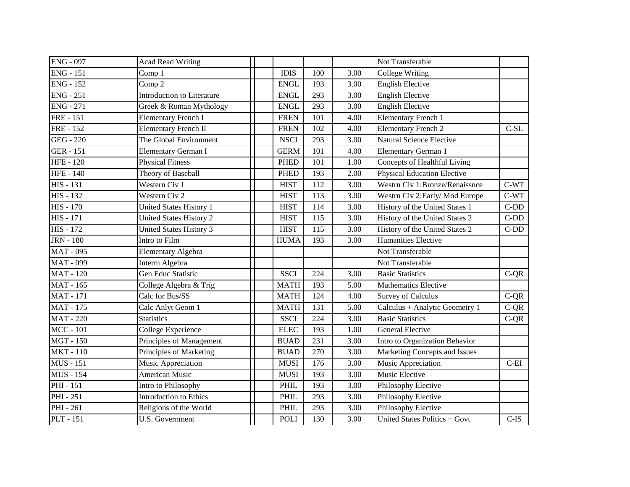| <b>ENG - 097</b> | <b>Acad Read Writing</b>          |             |                 |      | Not Transferable                   |            |
|------------------|-----------------------------------|-------------|-----------------|------|------------------------------------|------------|
| <b>ENG - 151</b> | Comp 1                            | <b>IDIS</b> | 100             | 3.00 | <b>College Writing</b>             |            |
| <b>ENG - 152</b> | Comp 2                            | <b>ENGL</b> | 193             | 3.00 | <b>English Elective</b>            |            |
| $ENG - 251$      | <b>Introduction to Literature</b> | <b>ENGL</b> | 293             | 3.00 | <b>English Elective</b>            |            |
| <b>ENG - 271</b> | Greek & Roman Mythology           | <b>ENGL</b> | 293             | 3.00 | <b>English Elective</b>            |            |
| <b>FRE</b> - 151 | <b>Elementary French I</b>        | <b>FREN</b> | 101             | 4.00 | <b>Elementary French 1</b>         |            |
| <b>FRE</b> - 152 | <b>Elementary French II</b>       | <b>FREN</b> | 102             | 4.00 | <b>Elementary French 2</b>         | $C-SL$     |
| <b>GEG - 220</b> | The Global Environment            | <b>NSCI</b> | 293             | 3.00 | <b>Natural Science Elective</b>    |            |
| <b>GER</b> - 151 | Elementary German I               | <b>GERM</b> | 101             | 4.00 | <b>Elementary German 1</b>         |            |
| <b>HFE-120</b>   | <b>Physical Fitness</b>           | <b>PHED</b> | 101             | 1.00 | Concepts of Healthful Living       |            |
| <b>HFE-140</b>   | Theory of Baseball                | <b>PHED</b> | 193             | 2.00 | <b>Physical Education Elective</b> |            |
| <b>HIS - 131</b> | Western Civ 1                     | <b>HIST</b> | 112             | 3.00 | Westrn Civ 1:Bronze/Renaissnce     | $C-WT$     |
| <b>HIS - 132</b> | Western Civ 2                     | <b>HIST</b> | 113             | 3.00 | Westrn Civ 2: Early/Mod Europe     | $C-WT$     |
| <b>HIS - 170</b> | United States History 1           | <b>HIST</b> | 114             | 3.00 | History of the United States 1     | $C$ - $DD$ |
| <b>HIS - 171</b> | <b>United States History 2</b>    | <b>HIST</b> | 115             | 3.00 | History of the United States 2     | $C-DD$     |
| <b>HIS - 172</b> | <b>United States History 3</b>    | <b>HIST</b> | 115             | 3.00 | History of the United States 2     | $C-DD$     |
| <b>JRN</b> - 180 | Intro to Film                     | <b>HUMA</b> | 193             | 3.00 | Humanities Elective                |            |
| <b>MAT - 095</b> | Elementary Algebra                |             |                 |      | Not Transferable                   |            |
| <b>MAT - 099</b> | Interm Algebra                    |             |                 |      | Not Transferable                   |            |
| <b>MAT-120</b>   | Gen Educ Statistic                | <b>SSCI</b> | 224             | 3.00 | <b>Basic Statistics</b>            | $C-QR$     |
| <b>MAT - 165</b> | College Algebra & Trig            | <b>MATH</b> | 193             | 5.00 | <b>Mathematics Elective</b>        |            |
| <b>MAT</b> - 171 | Calc for Bus/SS                   | <b>MATH</b> | $\frac{124}{2}$ | 4.00 | <b>Survey of Calculus</b>          | $C-QR$     |
| <b>MAT</b> - 175 | Calc Anlyt Geom 1                 | <b>MATH</b> | 131             | 5.00 | Calculus + Analytic Geometry 1     | $C-QR$     |
| <b>MAT-220</b>   | <b>Statistics</b>                 | <b>SSCI</b> | 224             | 3.00 | <b>Basic Statistics</b>            | $C-QR$     |
| <b>MCC</b> - 101 | College Experience                | <b>ELEC</b> | 193             | 1.00 | <b>General Elective</b>            |            |
| <b>MGT-150</b>   | Principles of Management          | <b>BUAD</b> | 231             | 3.00 | Intro to Organization Behavior     |            |
| <b>MKT-110</b>   | Principles of Marketing           | <b>BUAD</b> | 270             | 3.00 | Marketing Concepts and Issues      |            |
| <b>MUS</b> - 151 | Music Appreciation                | <b>MUSI</b> | 176             | 3.00 | Music Appreciation                 | $C$ -EI    |
| <b>MUS</b> - 154 | <b>American Music</b>             | <b>MUSI</b> | 193             | 3.00 | Music Elective                     |            |
| PHI - 151        | Intro to Philosophy               | PHIL        | 193             | 3.00 | Philosophy Elective                |            |
| PHI - 251        | <b>Introduction to Ethics</b>     | PHIL        | 293             | 3.00 | Philosophy Elective                |            |
| PHI - 261        | Religions of the World            | PHIL        | 293             | 3.00 | Philosophy Elective                |            |
| <b>PLT</b> - 151 | U.S. Government                   | <b>POLI</b> | 130             | 3.00 | United States Politics + Govt      | $C-IS$     |